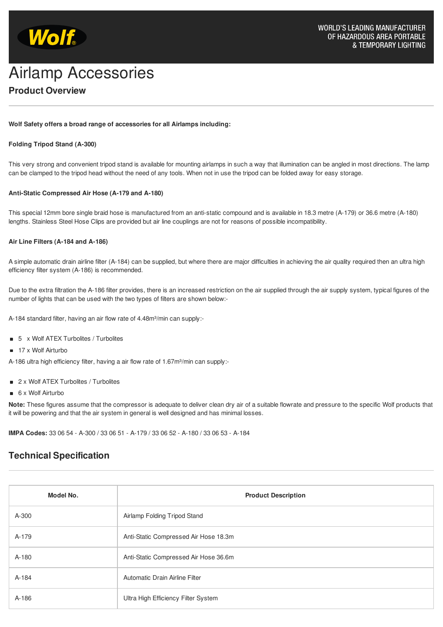

# **Product Overview** Wolf<br>Airlamp Accessories

### **Wolf Safety offers a broad range of accessories for all Airlamps including:**

## **Folding Tripod Stand (A-300)**

This very strong and convenient tripod stand is available for mounting airlamps in such a way that illumination can be angled in most directions. The lamp can be clamped to the tripod head without the need of any tools. When not in use the tripod can be folded away for easy storage.

#### **Anti-Static Compressed Air Hose (A-179 and A-180)**

This special 12mm bore single braid hose is manufactured from an anti-static compound and is available in 18.3 metre (A-179) or 36.6 metre (A-180) lengths. Stainless Steel Hose Clips are provided but air line couplings are not for reasons of possible incompatibility.

#### **Air Line Filters (A-184 and A-186)**

A simple automatic drain airline filter (A-184) can be supplied, but where there are major difficulties in achieving the air quality required then an ultra high efficiency filter system (A-186) is recommended.

Due to the extra filtration the A-186 filter provides, there is an increased restriction on the air supplied through the air supply system, typical figures of the number of lights that can be used with the two types of filters are shown below:-

A-184 standard filter, having an air flow rate of 4.48m<sup>3</sup>/min can supply:-

- 5 x Wolf ATEX Turbolites / Turbolites
- 17 x Wolf Airturbo

A-186 ultra high efficiency filter, having a air flow rate of 1.67m<sup>3</sup>/min can supply:-

- 2 x Wolf ATEX Turbolites / Turbolites
- 6 x Wolf Airturbo

**Note:** These figures assume that the compressor is adequate to deliver clean dry air of a suitable flowrate and pressure to the specific Wolf products that it will be powering and that the air system in general is well designed and has minimal losses.

**IMPA Codes:** 33 06 54 - A-300 / 33 06 51 - A-179 / 33 06 52 - A-180 / 33 06 53 - A-184

# **Technical Specification**

| Model No. | <b>Product Description</b>            |
|-----------|---------------------------------------|
| A-300     | Airlamp Folding Tripod Stand          |
| A-179     | Anti-Static Compressed Air Hose 18.3m |
| A-180     | Anti-Static Compressed Air Hose 36.6m |
| A-184     | Automatic Drain Airline Filter        |
| A-186     | Ultra High Efficiency Filter System   |